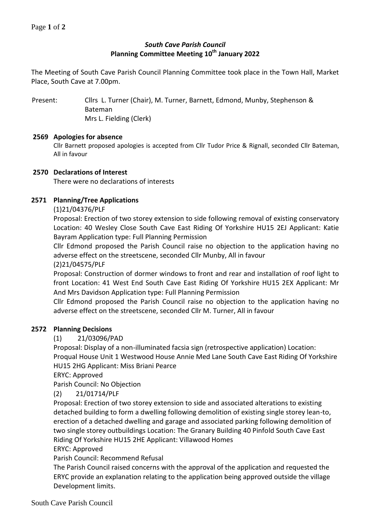# *South Cave Parish Council* **Planning Committee Meeting 10th January 2022**

The Meeting of South Cave Parish Council Planning Committee took place in the Town Hall, Market Place, South Cave at 7.00pm.

Present: Cllrs L. Turner (Chair), M. Turner, Barnett, Edmond, Munby, Stephenson & Bateman Mrs L. Fielding (Clerk)

### **2569 Apologies for absence**

Cllr Barnett proposed apologies is accepted from Cllr Tudor Price & Rignall, seconded Cllr Bateman, All in favour

### **2570 Declarations of Interest**

There were no declarations of interests

# **2571 Planning/Tree Applications**

(1)21/04376/PLF

Proposal: Erection of two storey extension to side following removal of existing conservatory Location: 40 Wesley Close South Cave East Riding Of Yorkshire HU15 2EJ Applicant: Katie Bayram Application type: Full Planning Permission

Cllr Edmond proposed the Parish Council raise no objection to the application having no adverse effect on the streetscene, seconded Cllr Munby, All in favour

(2)21/04575/PLF

Proposal: Construction of dormer windows to front and rear and installation of roof light to front Location: 41 West End South Cave East Riding Of Yorkshire HU15 2EX Applicant: Mr And Mrs Davidson Application type: Full Planning Permission

Cllr Edmond proposed the Parish Council raise no objection to the application having no adverse effect on the streetscene, seconded Cllr M. Turner, All in favour

#### **2572 Planning Decisions**

(1) 21/03096/PAD

Proposal: Display of a non-illuminated facsia sign (retrospective application) Location: Proqual House Unit 1 Westwood House Annie Med Lane South Cave East Riding Of Yorkshire HU15 2HG Applicant: Miss Briani Pearce

ERYC: Approved

Parish Council: No Objection

(2) 21/01714/PLF

Proposal: Erection of two storey extension to side and associated alterations to existing detached building to form a dwelling following demolition of existing single storey lean-to, erection of a detached dwelling and garage and associated parking following demolition of two single storey outbuildings Location: The Granary Building 40 Pinfold South Cave East Riding Of Yorkshire HU15 2HE Applicant: Villawood Homes

ERYC: Approved

Parish Council: Recommend Refusal

The Parish Council raised concerns with the approval of the application and requested the ERYC provide an explanation relating to the application being approved outside the village Development limits.